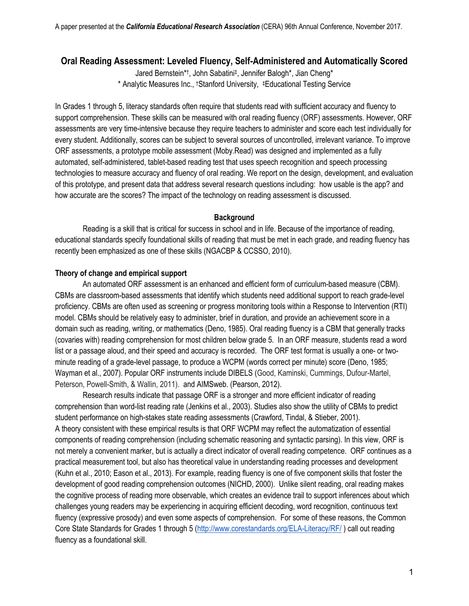# **Oral Reading Assessment: Leveled Fluency, Self-Administered and Automatically Scored**

Jared Bernstein\*†, John Sabatini‡, Jennifer Balogh\*, Jian Cheng\* \* Analytic Measures Inc., †Stanford University, ‡Educational Testing Service

In Grades 1 through 5, literacy standards often require that students read with sufficient accuracy and fluency to support comprehension. These skills can be measured with oral reading fluency (ORF) assessments. However, ORF assessments are very time-intensive because they require teachers to administer and score each test individually for every student. Additionally, scores can be subject to several sources of uncontrolled, irrelevant variance. To improve ORF assessments, a prototype mobile assessment (Moby.Read) was designed and implemented as a fully automated, self-administered, tablet-based reading test that uses speech recognition and speech processing technologies to measure accuracy and fluency of oral reading. We report on the design, development, and evaluation of this prototype, and present data that address several research questions including: how usable is the app? and how accurate are the scores? The impact of the technology on reading assessment is discussed.

## **Background**

Reading is a skill that is critical for success in school and in life. Because of the importance of reading, educational standards specify foundational skills of reading that must be met in each grade, and reading fluency has recently been emphasized as one of these skills (NGACBP & CCSSO, 2010).

## **Theory of change and empirical support**

An automated ORF assessment is an enhanced and efficient form of curriculum-based measure (CBM). CBMs are classroom-based assessments that identify which students need additional support to reach grade-level proficiency. CBMs are often used as screening or progress monitoring tools within a Response to Intervention (RTI) model. CBMs should be relatively easy to administer, brief in duration, and provide an achievement score in a domain such as reading, writing, or mathematics (Deno, 1985). Oral reading fluency is a CBM that generally tracks (covaries with) reading comprehension for most children below grade 5. In an ORF measure, students read a word list or a passage aloud, and their speed and accuracy is recorded. The ORF test format is usually a one- or twominute reading of a grade-level passage, to produce a WCPM (words correct per minute) score (Deno, 1985; Wayman et al., 2007). Popular ORF instruments include DIBELS (Good, Kaminski, Cummings, Dufour-Martel, Peterson, Powell-Smith, & Wallin, 2011). and AIMSweb. (Pearson, 2012).

Research results indicate that passage ORF is a stronger and more efficient indicator of reading comprehension than word-list reading rate (Jenkins et al., 2003). Studies also show the utility of CBMs to predict student performance on high-stakes state reading assessments (Crawford, Tindal, & Stieber, 2001). A theory consistent with these empirical results is that ORF WCPM may reflect the automatization of essential components of reading comprehension (including schematic reasoning and syntactic parsing). In this view, ORF is not merely a convenient marker, but is actually a direct indicator of overall reading competence. ORF continues as a practical measurement tool, but also has theoretical value in understanding reading processes and development (Kuhn et al., 2010; Eason et al., 2013). For example, reading fluency is one of five component skills that foster the development of good reading comprehension outcomes (NICHD, 2000). Unlike silent reading, oral reading makes the cognitive process of reading more observable, which creates an evidence trail to support inferences about which challenges young readers may be experiencing in acquiring efficient decoding, word recognition, continuous text fluency (expressive prosody) and even some aspects of comprehension. For some of these reasons, the Common Core State Standards for Grades 1 through 5 (http://www.corestandards.org/ELA-Literacy/RF/ ) call out reading fluency as a foundational skill.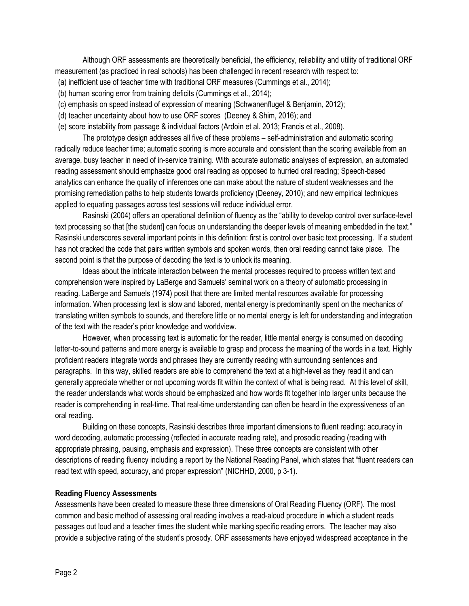Although ORF assessments are theoretically beneficial, the efficiency, reliability and utility of traditional ORF measurement (as practiced in real schools) has been challenged in recent research with respect to:

- (a) inefficient use of teacher time with traditional ORF measures (Cummings et al., 2014);
- (b) human scoring error from training deficits (Cummings et al., 2014);
- (c) emphasis on speed instead of expression of meaning (Schwanenflugel & Benjamin, 2012);
- (d) teacher uncertainty about how to use ORF scores (Deeney & Shim, 2016); and
- (e) score instability from passage & individual factors (Ardoin et al. 2013; Francis et al., 2008).

The prototype design addresses all five of these problems – self-administration and automatic scoring radically reduce teacher time; automatic scoring is more accurate and consistent than the scoring available from an average, busy teacher in need of in-service training. With accurate automatic analyses of expression, an automated reading assessment should emphasize good oral reading as opposed to hurried oral reading; Speech-based analytics can enhance the quality of inferences one can make about the nature of student weaknesses and the promising remediation paths to help students towards proficiency (Deeney, 2010); and new empirical techniques applied to equating passages across test sessions will reduce individual error.

Rasinski (2004) offers an operational definition of fluency as the "ability to develop control over surface-level text processing so that [the student] can focus on understanding the deeper levels of meaning embedded in the text." Rasinski underscores several important points in this definition: first is control over basic text processing. If a student has not cracked the code that pairs written symbols and spoken words, then oral reading cannot take place. The second point is that the purpose of decoding the text is to unlock its meaning.

Ideas about the intricate interaction between the mental processes required to process written text and comprehension were inspired by LaBerge and Samuels' seminal work on a theory of automatic processing in reading. LaBerge and Samuels (1974) posit that there are limited mental resources available for processing information. When processing text is slow and labored, mental energy is predominantly spent on the mechanics of translating written symbols to sounds, and therefore little or no mental energy is left for understanding and integration of the text with the reader's prior knowledge and worldview.

However, when processing text is automatic for the reader, little mental energy is consumed on decoding letter-to-sound patterns and more energy is available to grasp and process the meaning of the words in a text. Highly proficient readers integrate words and phrases they are currently reading with surrounding sentences and paragraphs. In this way, skilled readers are able to comprehend the text at a high-level as they read it and can generally appreciate whether or not upcoming words fit within the context of what is being read. At this level of skill, the reader understands what words should be emphasized and how words fit together into larger units because the reader is comprehending in real-time. That real-time understanding can often be heard in the expressiveness of an oral reading.

Building on these concepts, Rasinski describes three important dimensions to fluent reading: accuracy in word decoding, automatic processing (reflected in accurate reading rate), and prosodic reading (reading with appropriate phrasing, pausing, emphasis and expression). These three concepts are consistent with other descriptions of reading fluency including a report by the National Reading Panel, which states that "fluent readers can read text with speed, accuracy, and proper expression" (NICHHD, 2000, p 3-1).

#### **Reading Fluency Assessments**

Assessments have been created to measure these three dimensions of Oral Reading Fluency (ORF). The most common and basic method of assessing oral reading involves a read-aloud procedure in which a student reads passages out loud and a teacher times the student while marking specific reading errors. The teacher may also provide a subjective rating of the student's prosody. ORF assessments have enjoyed widespread acceptance in the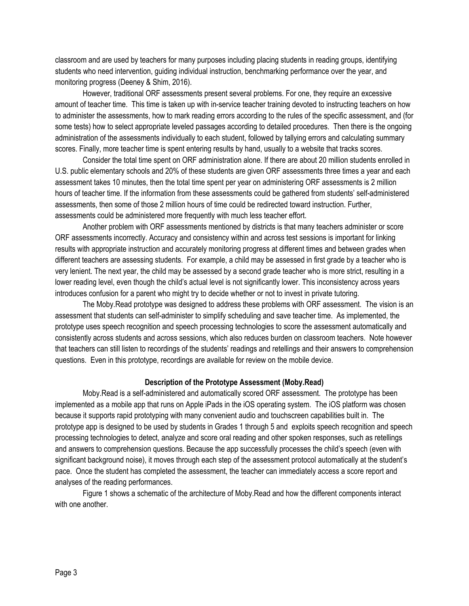classroom and are used by teachers for many purposes including placing students in reading groups, identifying students who need intervention, guiding individual instruction, benchmarking performance over the year, and monitoring progress (Deeney & Shim, 2016).

However, traditional ORF assessments present several problems. For one, they require an excessive amount of teacher time. This time is taken up with in-service teacher training devoted to instructing teachers on how to administer the assessments, how to mark reading errors according to the rules of the specific assessment, and (for some tests) how to select appropriate leveled passages according to detailed procedures. Then there is the ongoing administration of the assessments individually to each student, followed by tallying errors and calculating summary scores. Finally, more teacher time is spent entering results by hand, usually to a website that tracks scores.

Consider the total time spent on ORF administration alone. If there are about 20 million students enrolled in U.S. public elementary schools and 20% of these students are given ORF assessments three times a year and each assessment takes 10 minutes, then the total time spent per year on administering ORF assessments is 2 million hours of teacher time. If the information from these assessments could be gathered from students' self-administered assessments, then some of those 2 million hours of time could be redirected toward instruction. Further, assessments could be administered more frequently with much less teacher effort.

Another problem with ORF assessments mentioned by districts is that many teachers administer or score ORF assessments incorrectly. Accuracy and consistency within and across test sessions is important for linking results with appropriate instruction and accurately monitoring progress at different times and between grades when different teachers are assessing students. For example, a child may be assessed in first grade by a teacher who is very lenient. The next year, the child may be assessed by a second grade teacher who is more strict, resulting in a lower reading level, even though the child's actual level is not significantly lower. This inconsistency across years introduces confusion for a parent who might try to decide whether or not to invest in private tutoring.

The Moby.Read prototype was designed to address these problems with ORF assessment. The vision is an assessment that students can self-administer to simplify scheduling and save teacher time. As implemented, the prototype uses speech recognition and speech processing technologies to score the assessment automatically and consistently across students and across sessions, which also reduces burden on classroom teachers. Note however that teachers can still listen to recordings of the students' readings and retellings and their answers to comprehension questions. Even in this prototype, recordings are available for review on the mobile device.

#### **Description of the Prototype Assessment (Moby.Read)**

Moby.Read is a self-administered and automatically scored ORF assessment. The prototype has been implemented as a mobile app that runs on Apple iPads in the iOS operating system. The iOS platform was chosen because it supports rapid prototyping with many convenient audio and touchscreen capabilities built in. The prototype app is designed to be used by students in Grades 1 through 5 and exploits speech recognition and speech processing technologies to detect, analyze and score oral reading and other spoken responses, such as retellings and answers to comprehension questions. Because the app successfully processes the child's speech (even with significant background noise), it moves through each step of the assessment protocol automatically at the student's pace. Once the student has completed the assessment, the teacher can immediately access a score report and analyses of the reading performances.

Figure 1 shows a schematic of the architecture of Moby.Read and how the different components interact with one another.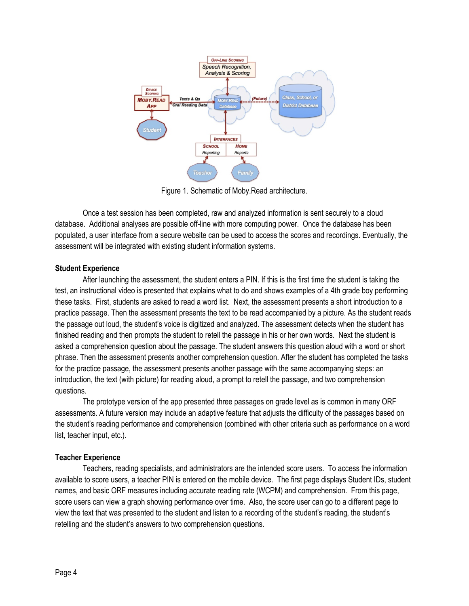

Figure 1. Schematic of Moby.Read architecture.

Once a test session has been completed, raw and analyzed information is sent securely to a cloud database. Additional analyses are possible off-line with more computing power. Once the database has been populated, a user interface from a secure website can be used to access the scores and recordings. Eventually, the assessment will be integrated with existing student information systems.

## **Student Experience**

After launching the assessment, the student enters a PIN. If this is the first time the student is taking the test, an instructional video is presented that explains what to do and shows examples of a 4th grade boy performing these tasks. First, students are asked to read a word list. Next, the assessment presents a short introduction to a practice passage. Then the assessment presents the text to be read accompanied by a picture. As the student reads the passage out loud, the student's voice is digitized and analyzed. The assessment detects when the student has finished reading and then prompts the student to retell the passage in his or her own words. Next the student is asked a comprehension question about the passage. The student answers this question aloud with a word or short phrase. Then the assessment presents another comprehension question. After the student has completed the tasks for the practice passage, the assessment presents another passage with the same accompanying steps: an introduction, the text (with picture) for reading aloud, a prompt to retell the passage, and two comprehension questions.

The prototype version of the app presented three passages on grade level as is common in many ORF assessments. A future version may include an adaptive feature that adjusts the difficulty of the passages based on the student's reading performance and comprehension (combined with other criteria such as performance on a word list, teacher input, etc.).

## **Teacher Experience**

Teachers, reading specialists, and administrators are the intended score users. To access the information available to score users, a teacher PIN is entered on the mobile device. The first page displays Student IDs, student names, and basic ORF measures including accurate reading rate (WCPM) and comprehension. From this page, score users can view a graph showing performance over time. Also, the score user can go to a different page to view the text that was presented to the student and listen to a recording of the student's reading, the student's retelling and the student's answers to two comprehension questions.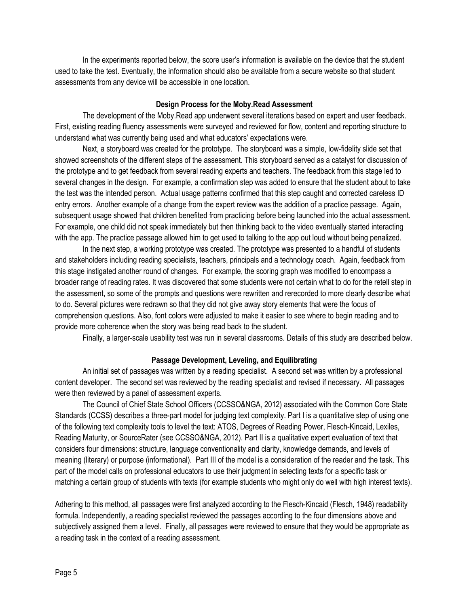In the experiments reported below, the score user's information is available on the device that the student used to take the test. Eventually, the information should also be available from a secure website so that student assessments from any device will be accessible in one location.

## **Design Process for the Moby.Read Assessment**

The development of the Moby.Read app underwent several iterations based on expert and user feedback. First, existing reading fluency assessments were surveyed and reviewed for flow, content and reporting structure to understand what was currently being used and what educators' expectations were.

Next, a storyboard was created for the prototype. The storyboard was a simple, low-fidelity slide set that showed screenshots of the different steps of the assessment. This storyboard served as a catalyst for discussion of the prototype and to get feedback from several reading experts and teachers. The feedback from this stage led to several changes in the design. For example, a confirmation step was added to ensure that the student about to take the test was the intended person. Actual usage patterns confirmed that this step caught and corrected careless ID entry errors. Another example of a change from the expert review was the addition of a practice passage. Again, subsequent usage showed that children benefited from practicing before being launched into the actual assessment. For example, one child did not speak immediately but then thinking back to the video eventually started interacting with the app. The practice passage allowed him to get used to talking to the app out loud without being penalized.

In the next step, a working prototype was created. The prototype was presented to a handful of students and stakeholders including reading specialists, teachers, principals and a technology coach. Again, feedback from this stage instigated another round of changes. For example, the scoring graph was modified to encompass a broader range of reading rates. It was discovered that some students were not certain what to do for the retell step in the assessment, so some of the prompts and questions were rewritten and rerecorded to more clearly describe what to do. Several pictures were redrawn so that they did not give away story elements that were the focus of comprehension questions. Also, font colors were adjusted to make it easier to see where to begin reading and to provide more coherence when the story was being read back to the student.

Finally, a larger-scale usability test was run in several classrooms. Details of this study are described below.

## **Passage Development, Leveling, and Equilibrating**

An initial set of passages was written by a reading specialist. A second set was written by a professional content developer. The second set was reviewed by the reading specialist and revised if necessary. All passages were then reviewed by a panel of assessment experts.

The Council of Chief State School Officers (CCSSO&NGA, 2012) associated with the Common Core State Standards (CCSS) describes a three-part model for judging text complexity. Part I is a quantitative step of using one of the following text complexity tools to level the text: ATOS, Degrees of Reading Power, Flesch-Kincaid, Lexiles, Reading Maturity, or SourceRater (see CCSSO&NGA, 2012). Part II is a qualitative expert evaluation of text that considers four dimensions: structure, language conventionality and clarity, knowledge demands, and levels of meaning (literary) or purpose (informational). Part III of the model is a consideration of the reader and the task. This part of the model calls on professional educators to use their judgment in selecting texts for a specific task or matching a certain group of students with texts (for example students who might only do well with high interest texts).

Adhering to this method, all passages were first analyzed according to the Flesch-Kincaid (Flesch, 1948) readability formula. Independently, a reading specialist reviewed the passages according to the four dimensions above and subjectively assigned them a level. Finally, all passages were reviewed to ensure that they would be appropriate as a reading task in the context of a reading assessment.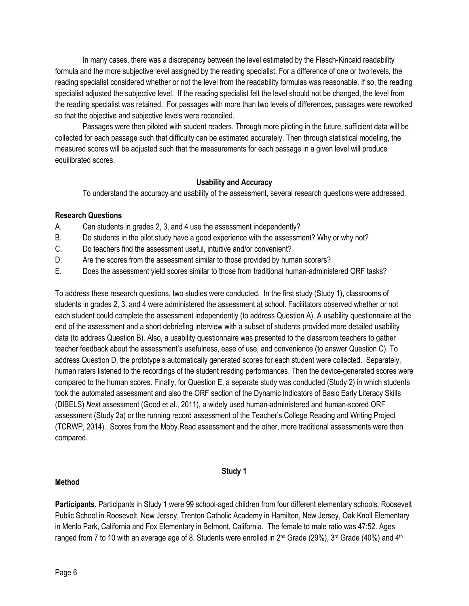In many cases, there was a discrepancy between the level estimated by the Flesch-Kincaid readability formula and the more subjective level assigned by the reading specialist. For a difference of one or two levels, the reading specialist considered whether or not the level from the readability formulas was reasonable. If so, the reading specialist adjusted the subjective level. If the reading specialist felt the level should not be changed, the level from the reading specialist was retained. For passages with more than two levels of differences, passages were reworked so that the objective and subjective levels were reconciled.

Passages were then piloted with student readers. Through more piloting in the future, sufficient data will be collected for each passage such that difficulty can be estimated accurately. Then through statistical modeling, the measured scores will be adjusted such that the measurements for each passage in a given level will produce equilibrated scores.

## **Usability and Accuracy**

To understand the accuracy and usability of the assessment, several research questions were addressed.

## **Research Questions**

- A. Can students in grades 2, 3, and 4 use the assessment independently?
- B. Do students in the pilot study have a good experience with the assessment? Why or why not?
- C. Do teachers find the assessment useful, intuitive and/or convenient?
- D. Are the scores from the assessment similar to those provided by human scorers?
- E. Does the assessment yield scores similar to those from traditional human-administered ORF tasks?

To address these research questions, two studies were conducted. In the first study (Study 1), classrooms of students in grades 2, 3, and 4 were administered the assessment at school. Facilitators observed whether or not each student could complete the assessment independently (to address Question A). A usability questionnaire at the end of the assessment and a short debriefing interview with a subset of students provided more detailed usability data (to address Question B). Also, a usability questionnaire was presented to the classroom teachers to gather teacher feedback about the assessment's usefulness, ease of use, and convenience (to answer Question C). To address Question D, the prototype's automatically generated scores for each student were collected. Separately, human raters listened to the recordings of the student reading performances. Then the device-generated scores were compared to the human scores. Finally, for Question E, a separate study was conducted (Study 2) in which students took the automated assessment and also the ORF section of the Dynamic Indicators of Basic Early Literacy Skills (DIBELS) *Next* assessment (Good et al., 2011), a widely used human-administered and human-scored ORF assessment (Study 2a) or the running record assessment of the Teacher's College Reading and Writing Project (TCRWP, 2014).. Scores from the Moby.Read assessment and the other, more traditional assessments were then compared.

## **Study 1**

## **Method**

**Participants.** Participants in Study 1 were 99 school-aged children from four different elementary schools: Roosevelt Public School in Roosevelt, New Jersey, Trenton Catholic Academy in Hamilton, New Jersey, Oak Knoll Elementary in Menlo Park, California and Fox Elementary in Belmont, California. The female to male ratio was 47:52. Ages ranged from 7 to 10 with an average age of 8. Students were enrolled in  $2^{nd}$  Grade (29%),  $3^{rd}$  Grade (40%) and  $4^{th}$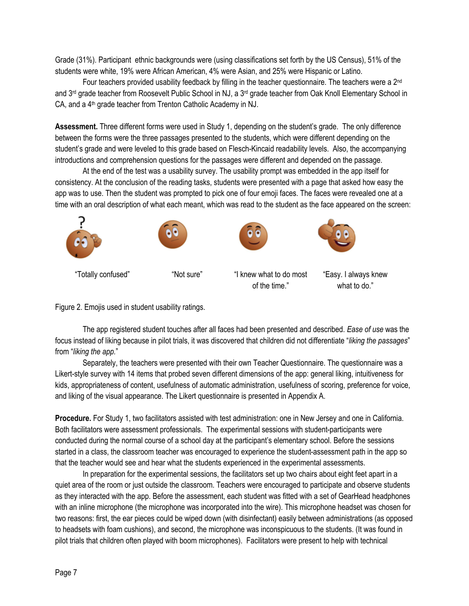Grade (31%). Participant ethnic backgrounds were (using classifications set forth by the US Census), 51% of the students were white, 19% were African American, 4% were Asian, and 25% were Hispanic or Latino.

Four teachers provided usability feedback by filling in the teacher questionnaire. The teachers were a 2<sup>nd</sup> and 3<sup>rd</sup> grade teacher from Roosevelt Public School in NJ, a 3<sup>rd</sup> grade teacher from Oak Knoll Elementary School in CA, and a 4<sup>th</sup> grade teacher from Trenton Catholic Academy in NJ.

**Assessment.** Three different forms were used in Study 1, depending on the student's grade. The only difference between the forms were the three passages presented to the students, which were different depending on the student's grade and were leveled to this grade based on Flesch-Kincaid readability levels. Also, the accompanying introductions and comprehension questions for the passages were different and depended on the passage.

At the end of the test was a usability survey. The usability prompt was embedded in the app itself for consistency. At the conclusion of the reading tasks, students were presented with a page that asked how easy the app was to use. Then the student was prompted to pick one of four emoji faces. The faces were revealed one at a time with an oral description of what each meant, which was read to the student as the face appeared on the screen:



## Figure 2. Emojis used in student usability ratings.

The app registered student touches after all faces had been presented and described. *Ease of use* was the focus instead of liking because in pilot trials, it was discovered that children did not differentiate "*liking the passages*" from "*liking the app.*"

Separately, the teachers were presented with their own Teacher Questionnaire. The questionnaire was a Likert-style survey with 14 items that probed seven different dimensions of the app: general liking, intuitiveness for kids, appropriateness of content, usefulness of automatic administration, usefulness of scoring, preference for voice, and liking of the visual appearance. The Likert questionnaire is presented in Appendix A.

**Procedure.** For Study 1, two facilitators assisted with test administration: one in New Jersey and one in California. Both facilitators were assessment professionals. The experimental sessions with student-participants were conducted during the normal course of a school day at the participant's elementary school. Before the sessions started in a class, the classroom teacher was encouraged to experience the student-assessment path in the app so that the teacher would see and hear what the students experienced in the experimental assessments.

In preparation for the experimental sessions, the facilitators set up two chairs about eight feet apart in a quiet area of the room or just outside the classroom. Teachers were encouraged to participate and observe students as they interacted with the app. Before the assessment, each student was fitted with a set of GearHead headphones with an inline microphone (the microphone was incorporated into the wire). This microphone headset was chosen for two reasons: first, the ear pieces could be wiped down (with disinfectant) easily between administrations (as opposed to headsets with foam cushions), and second, the microphone was inconspicuous to the students. (It was found in pilot trials that children often played with boom microphones). Facilitators were present to help with technical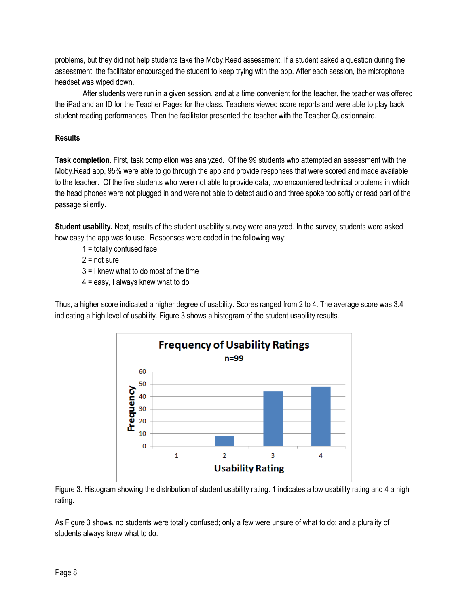problems, but they did not help students take the Moby.Read assessment. If a student asked a question during the assessment, the facilitator encouraged the student to keep trying with the app. After each session, the microphone headset was wiped down.

After students were run in a given session, and at a time convenient for the teacher, the teacher was offered the iPad and an ID for the Teacher Pages for the class. Teachers viewed score reports and were able to play back student reading performances. Then the facilitator presented the teacher with the Teacher Questionnaire.

## **Results**

**Task completion.** First, task completion was analyzed. Of the 99 students who attempted an assessment with the Moby.Read app, 95% were able to go through the app and provide responses that were scored and made available to the teacher. Of the five students who were not able to provide data, two encountered technical problems in which the head phones were not plugged in and were not able to detect audio and three spoke too softly or read part of the passage silently.

**Student usability.** Next, results of the student usability survey were analyzed. In the survey, students were asked how easy the app was to use. Responses were coded in the following way:

- $1 =$  totally confused face
- $2 = not sure$
- 3 = I knew what to do most of the time
- $4 = e$ asy, I always knew what to do

Thus, a higher score indicated a higher degree of usability. Scores ranged from 2 to 4. The average score was 3.4 indicating a high level of usability. Figure 3 shows a histogram of the student usability results.



Figure 3. Histogram showing the distribution of student usability rating. 1 indicates a low usability rating and 4 a high rating.

As Figure 3 shows, no students were totally confused; only a few were unsure of what to do; and a plurality of students always knew what to do.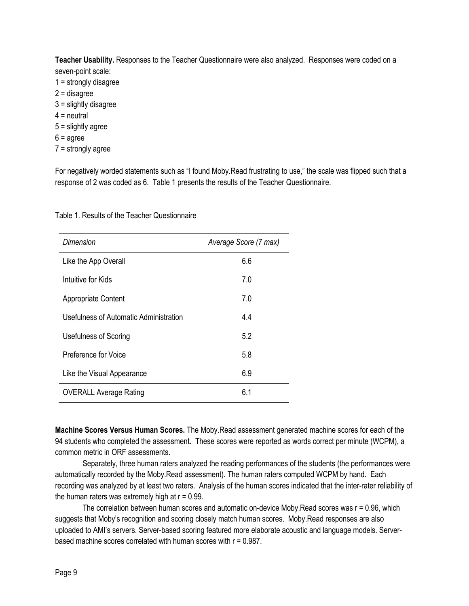**Teacher Usability.** Responses to the Teacher Questionnaire were also analyzed. Responses were coded on a seven-point scale:

- 1 = strongly disagree
- 2 = disagree
- 3 = slightly disagree
- $4$  = neutral
- 5 = slightly agree
- $6 = \text{agree}$
- 7 = strongly agree

For negatively worded statements such as "I found Moby.Read frustrating to use," the scale was flipped such that a response of 2 was coded as 6. Table 1 presents the results of the Teacher Questionnaire.

| Dimension                              | Average Score (7 max) |  |  |  |  |
|----------------------------------------|-----------------------|--|--|--|--|
| Like the App Overall                   | 6.6                   |  |  |  |  |
| Intuitive for Kids                     | 7.0                   |  |  |  |  |
| <b>Appropriate Content</b>             | 7.0                   |  |  |  |  |
| Usefulness of Automatic Administration | 4.4                   |  |  |  |  |
| Usefulness of Scoring                  | 5.2                   |  |  |  |  |
| Preference for Voice                   | 5.8                   |  |  |  |  |
| Like the Visual Appearance             | 6.9                   |  |  |  |  |
| <b>OVERALL Average Rating</b>          | 6.1                   |  |  |  |  |
|                                        |                       |  |  |  |  |

Table 1. Results of the Teacher Questionnaire

**Machine Scores Versus Human Scores.** The Moby.Read assessment generated machine scores for each of the 94 students who completed the assessment. These scores were reported as words correct per minute (WCPM), a common metric in ORF assessments.

Separately, three human raters analyzed the reading performances of the students (the performances were automatically recorded by the Moby.Read assessment). The human raters computed WCPM by hand. Each recording was analyzed by at least two raters. Analysis of the human scores indicated that the inter-rater reliability of the human raters was extremely high at  $r = 0.99$ .

The correlation between human scores and automatic on-device Moby.Read scores was r = 0.96, which suggests that Moby's recognition and scoring closely match human scores. Moby.Read responses are also uploaded to AMI's servers. Server-based scoring featured more elaborate acoustic and language models. Serverbased machine scores correlated with human scores with  $r = 0.987$ .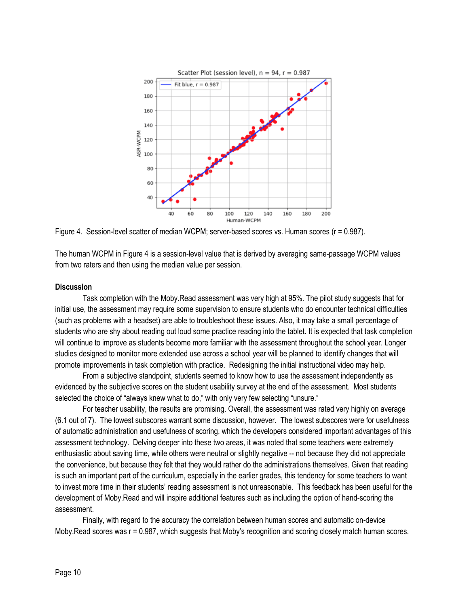

Figure 4. Session-level scatter of median WCPM; server-based scores vs. Human scores (r = 0.987).

The human WCPM in Figure 4 is a session-level value that is derived by averaging same-passage WCPM values from two raters and then using the median value per session.

#### **Discussion**

Task completion with the Moby.Read assessment was very high at 95%. The pilot study suggests that for initial use, the assessment may require some supervision to ensure students who do encounter technical difficulties (such as problems with a headset) are able to troubleshoot these issues. Also, it may take a small percentage of students who are shy about reading out loud some practice reading into the tablet. It is expected that task completion will continue to improve as students become more familiar with the assessment throughout the school year. Longer studies designed to monitor more extended use across a school year will be planned to identify changes that will promote improvements in task completion with practice. Redesigning the initial instructional video may help.

From a subjective standpoint, students seemed to know how to use the assessment independently as evidenced by the subjective scores on the student usability survey at the end of the assessment. Most students selected the choice of "always knew what to do," with only very few selecting "unsure."

For teacher usability, the results are promising. Overall, the assessment was rated very highly on average (6.1 out of 7). The lowest subscores warrant some discussion, however. The lowest subscores were for usefulness of automatic administration and usefulness of scoring, which the developers considered important advantages of this assessment technology. Delving deeper into these two areas, it was noted that some teachers were extremely enthusiastic about saving time, while others were neutral or slightly negative -- not because they did not appreciate the convenience, but because they felt that they would rather do the administrations themselves. Given that reading is such an important part of the curriculum, especially in the earlier grades, this tendency for some teachers to want to invest more time in their students' reading assessment is not unreasonable. This feedback has been useful for the development of Moby.Read and will inspire additional features such as including the option of hand-scoring the assessment.

Finally, with regard to the accuracy the correlation between human scores and automatic on-device Moby.Read scores was r = 0.987, which suggests that Moby's recognition and scoring closely match human scores.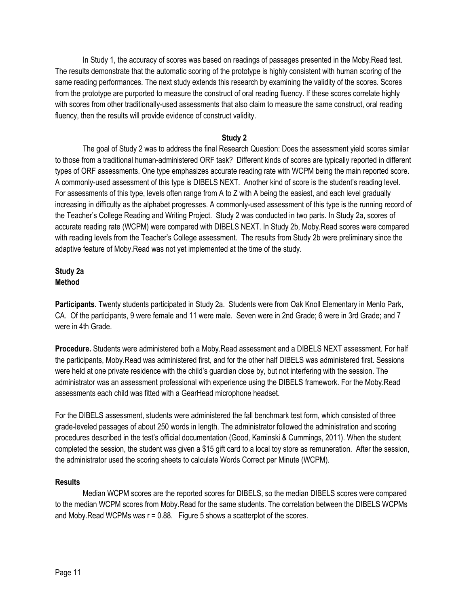In Study 1, the accuracy of scores was based on readings of passages presented in the Moby.Read test. The results demonstrate that the automatic scoring of the prototype is highly consistent with human scoring of the same reading performances. The next study extends this research by examining the validity of the scores. Scores from the prototype are purported to measure the construct of oral reading fluency. If these scores correlate highly with scores from other traditionally-used assessments that also claim to measure the same construct, oral reading fluency, then the results will provide evidence of construct validity.

## **Study 2**

The goal of Study 2 was to address the final Research Question: Does the assessment yield scores similar to those from a traditional human-administered ORF task? Different kinds of scores are typically reported in different types of ORF assessments. One type emphasizes accurate reading rate with WCPM being the main reported score. A commonly-used assessment of this type is DIBELS NEXT. Another kind of score is the student's reading level. For assessments of this type, levels often range from A to Z with A being the easiest, and each level gradually increasing in difficulty as the alphabet progresses. A commonly-used assessment of this type is the running record of the Teacher's College Reading and Writing Project. Study 2 was conducted in two parts. In Study 2a, scores of accurate reading rate (WCPM) were compared with DIBELS NEXT. In Study 2b, Moby.Read scores were compared with reading levels from the Teacher's College assessment. The results from Study 2b were preliminary since the adaptive feature of Moby.Read was not yet implemented at the time of the study.

## **Study 2a Method**

**Participants.** Twenty students participated in Study 2a. Students were from Oak Knoll Elementary in Menlo Park, CA. Of the participants, 9 were female and 11 were male. Seven were in 2nd Grade; 6 were in 3rd Grade; and 7 were in 4th Grade.

**Procedure.** Students were administered both a Moby.Read assessment and a DIBELS NEXT assessment. For half the participants, Moby.Read was administered first, and for the other half DIBELS was administered first. Sessions were held at one private residence with the child's guardian close by, but not interfering with the session. The administrator was an assessment professional with experience using the DIBELS framework. For the Moby.Read assessments each child was fitted with a GearHead microphone headset.

For the DIBELS assessment, students were administered the fall benchmark test form, which consisted of three grade-leveled passages of about 250 words in length. The administrator followed the administration and scoring procedures described in the test's official documentation (Good, Kaminski & Cummings, 2011). When the student completed the session, the student was given a \$15 gift card to a local toy store as remuneration. After the session, the administrator used the scoring sheets to calculate Words Correct per Minute (WCPM).

#### **Results**

Median WCPM scores are the reported scores for DIBELS, so the median DIBELS scores were compared to the median WCPM scores from Moby.Read for the same students. The correlation between the DIBELS WCPMs and Moby. Read WCPMs was  $r = 0.88$ . Figure 5 shows a scatterplot of the scores.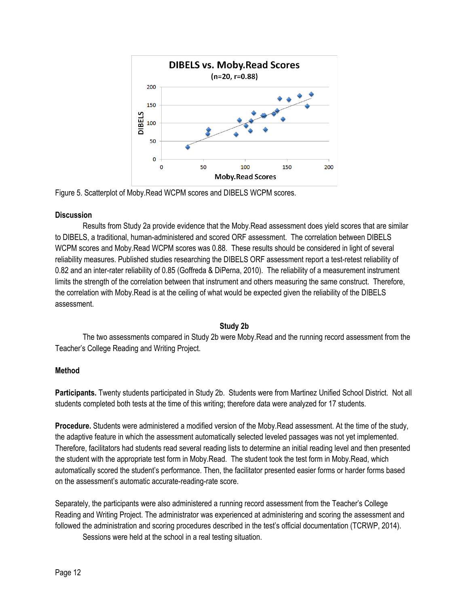

Figure 5. Scatterplot of Moby.Read WCPM scores and DIBELS WCPM scores.

## **Discussion**

Results from Study 2a provide evidence that the Moby.Read assessment does yield scores that are similar to DIBELS, a traditional, human-administered and scored ORF assessment. The correlation between DIBELS WCPM scores and Moby.Read WCPM scores was 0.88. These results should be considered in light of several reliability measures. Published studies researching the DIBELS ORF assessment report a test-retest reliability of 0.82 and an inter-rater reliability of 0.85 (Goffreda & DiPerna, 2010). The reliability of a measurement instrument limits the strength of the correlation between that instrument and others measuring the same construct. Therefore, the correlation with Moby.Read is at the ceiling of what would be expected given the reliability of the DIBELS assessment.

#### **Study 2b**

The two assessments compared in Study 2b were Moby.Read and the running record assessment from the Teacher's College Reading and Writing Project.

## **Method**

**Participants.** Twenty students participated in Study 2b. Students were from Martinez Unified School District. Not all students completed both tests at the time of this writing; therefore data were analyzed for 17 students.

**Procedure.** Students were administered a modified version of the Moby.Read assessment. At the time of the study, the adaptive feature in which the assessment automatically selected leveled passages was not yet implemented. Therefore, facilitators had students read several reading lists to determine an initial reading level and then presented the student with the appropriate test form in Moby.Read. The student took the test form in Moby.Read, which automatically scored the student's performance. Then, the facilitator presented easier forms or harder forms based on the assessment's automatic accurate-reading-rate score.

Separately, the participants were also administered a running record assessment from the Teacher's College Reading and Writing Project. The administrator was experienced at administering and scoring the assessment and followed the administration and scoring procedures described in the test's official documentation (TCRWP, 2014). Sessions were held at the school in a real testing situation.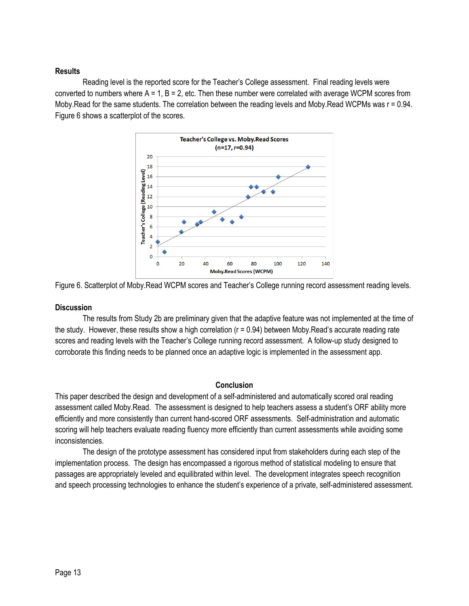## **Results**

Reading level is the reported score for the Teacher's College assessment. Final reading levels were converted to numbers where  $A = 1$ ,  $B = 2$ , etc. Then these number were correlated with average WCPM scores from Moby.Read for the same students. The correlation between the reading levels and Moby.Read WCPMs was r = 0.94. Figure 6 shows a scatterplot of the scores.



Figure 6. Scatterplot of Moby.Read WCPM scores and Teacher's College running record assessment reading levels.

## **Discussion**

The results from Study 2b are preliminary given that the adaptive feature was not implemented at the time of the study. However, these results show a high correlation (r = 0.94) between Moby.Read's accurate reading rate scores and reading levels with the Teacher's College running record assessment. A follow-up study designed to corroborate this finding needs to be planned once an adaptive logic is implemented in the assessment app.

## **Conclusion**

This paper described the design and development of a self-administered and automatically scored oral reading assessment called Moby.Read. The assessment is designed to help teachers assess a student's ORF ability more efficiently and more consistently than current hand-scored ORF assessments. Self-administration and automatic scoring will help teachers evaluate reading fluency more efficiently than current assessments while avoiding some inconsistencies.

The design of the prototype assessment has considered input from stakeholders during each step of the implementation process. The design has encompassed a rigorous method of statistical modeling to ensure that passages are appropriately leveled and equilibrated within level. The development integrates speech recognition and speech processing technologies to enhance the student's experience of a private, self-administered assessment.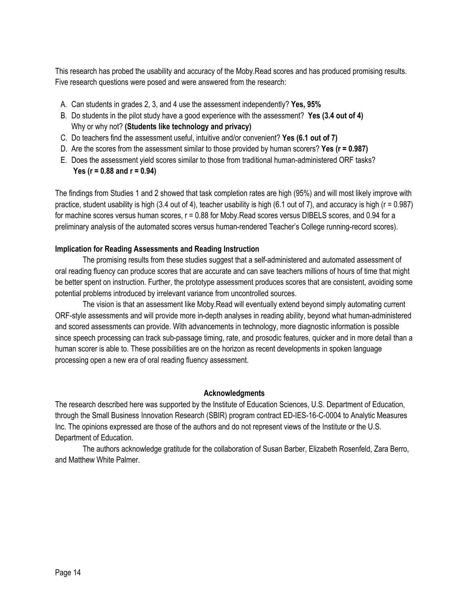This research has probed the usability and accuracy of the Moby.Read scores and has produced promising results. Five research questions were posed and were answered from the research:

- A. Can students in grades 2, 3, and 4 use the assessment independently? **Yes, 95%**
- B. Do students in the pilot study have a good experience with the assessment? **Yes (3.4 out of 4)**  Why or why not? **(Students like technology and privacy)**
- C. Do teachers find the assessment useful, intuitive and/or convenient? **Yes (6.1 out of 7)**
- D. Are the scores from the assessment similar to those provided by human scorers? **Yes (r = 0.987)**
- E. Does the assessment yield scores similar to those from traditional human-administered ORF tasks? **Yes (r = 0.88 and r = 0.94)**

The findings from Studies 1 and 2 showed that task completion rates are high (95%) and will most likely improve with practice, student usability is high (3.4 out of 4), teacher usability is high (6.1 out of 7), and accuracy is high ( $r = 0.987$ ) for machine scores versus human scores, r = 0.88 for Moby.Read scores versus DIBELS scores, and 0.94 for a preliminary analysis of the automated scores versus human-rendered Teacher's College running-record scores).

## **Implication for Reading Assessments and Reading Instruction**

The promising results from these studies suggest that a self-administered and automated assessment of oral reading fluency can produce scores that are accurate and can save teachers millions of hours of time that might be better spent on instruction. Further, the prototype assessment produces scores that are consistent, avoiding some potential problems introduced by irrelevant variance from uncontrolled sources.

The vision is that an assessment like Moby.Read will eventually extend beyond simply automating current ORF-style assessments and will provide more in-depth analyses in reading ability, beyond what human-administered and scored assessments can provide. With advancements in technology, more diagnostic information is possible since speech processing can track sub-passage timing, rate, and prosodic features, quicker and in more detail than a human scorer is able to. These possibilities are on the horizon as recent developments in spoken language processing open a new era of oral reading fluency assessment.

#### **Acknowledgments**

The research described here was supported by the Institute of Education Sciences, U.S. Department of Education, through the Small Business Innovation Research (SBIR) program contract ED-IES-16-C-0004 to Analytic Measures Inc. The opinions expressed are those of the authors and do not represent views of the Institute or the U.S. Department of Education.

The authors acknowledge gratitude for the collaboration of Susan Barber, Elizabeth Rosenfeld, Zara Berro, and Matthew White Palmer.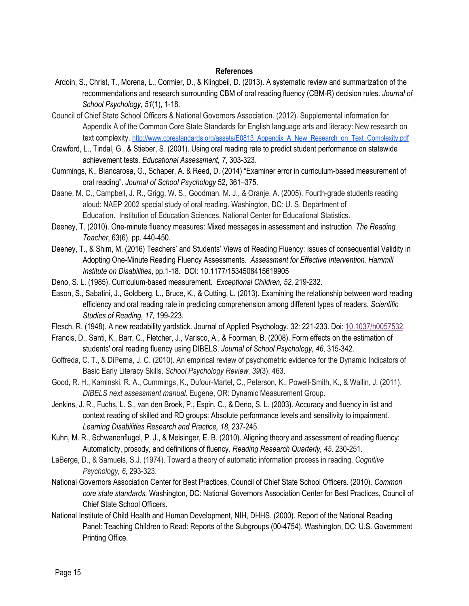#### **References**

- Ardoin, S., Christ, T., Morena, L., Cormier, D., & Klingbeil, D. (2013). A systematic review and summarization of the recommendations and research surrounding CBM of oral reading fluency (CBM-R) decision rules. *Journal of School Psychology, 51*(1), 1-18.
- Council of Chief State School Officers & National Governors Association. (2012). Supplemental information for Appendix A of the Common Core State Standards for English language arts and literacy: New research on text complexity. http://www.corestandards.org/assets/E0813\_Appendix\_A\_New\_Research\_on\_Text\_Complexity.pdf
- Crawford, L., Tindal, G., & Stieber, S. (2001). Using oral reading rate to predict student performance on statewide achievement tests. *Educational Assessment, 7*, 303-323.
- Cummings, K., Biancarosa, G., Schaper, A. & Reed, D. (2014) "Examiner error in curriculum-based measurement of oral reading". *Journal of School Psychology* 52, 361–375.
- Daane, M. C., Campbell, J. R., Grigg, W. S., Goodman, M. J., & Oranje, A. (2005). Fourth-grade students reading aloud: NAEP 2002 special study of oral reading. Washington, DC: U. S. Department of Education. Institution of Education Sciences, National Center for Educational Statistics.
- Deeney, T. (2010). One-minute fluency measures: Mixed messages in assessment and instruction. *The Reading Teacher*, 63(6), pp. 440-450.
- Deeney, T., & Shim, M. (2016) Teachers' and Students' Views of Reading Fluency: Issues of consequential Validity in Adopting One-Minute Reading Fluency Assessments. *Assessment for Effective Intervention. Hammill Institute on Disabilities*, pp.1-18. DOI: 10.1177/1534508415619905
- Deno, S. L. (1985). Curriculum-based measurement. *Exceptional Children, 52*, 219-232.
- Eason, S., Sabatini, J., Goldberg, L., Bruce, K., & Cutting, L. (2013). Examining the relationship between word reading efficiency and oral reading rate in predicting comprehension among different types of readers. *Scientific Studies of Reading, 17,* 199-223.
- Flesch, R. (1948). A new readability yardstick. Journal of Applied Psychology. 32: 221-233. Doi: 10.1037/h0057532.
- Francis, D., Santi, K., Barr, C., Fletcher, J., Varisco, A., & Foorman, B. (2008). Form effects on the estimation of students' oral reading fluency using DIBELS. *Journal of School Psychology, 46*, 315-342.
- Goffreda, C. T., & DiPerna, J. C. (2010). An empirical review of psychometric evidence for the Dynamic Indicators of Basic Early Literacy Skills. *School Psychology Review*, *39*(3), 463.
- Good, R. H., Kaminski, R. A., Cummings, K., Dufour-Martel, C., Peterson, K., Powell-Smith, K., & Wallin, J. (2011). *DIBELS next assessment manual.* Eugene, OR: Dynamic Measurement Group.
- Jenkins, J. R., Fuchs, L. S., van den Broek, P., Espin, C., & Deno, S. L. (2003). Accuracy and fluency in list and context reading of skilled and RD groups: Absolute performance levels and sensitivity to impairment. *Learning Disabilities Research and Practice, 18*, 237-245.
- Kuhn, M. R., Schwanenflugel, P. J., & Meisinger, E. B. (2010). Aligning theory and assessment of reading fluency: Automaticity, prosody, and definitions of fluency. *Reading Research Quarterly, 45,* 230-251.
- LaBerge, D., & Samuels, S.J. (1974). Toward a theory of automatic information process in reading. *Cognitive Psychology, 6,* 293-323.
- National Governors Association Center for Best Practices, Council of Chief State School Officers. (2010). *Common core state standards.* Washington, DC: National Governors Association Center for Best Practices, Council of Chief State School Officers.
- National Institute of Child Health and Human Development, NIH, DHHS. (2000). Report of the National Reading Panel: Teaching Children to Read: Reports of the Subgroups (00-4754). Washington, DC: U.S. Government Printing Office.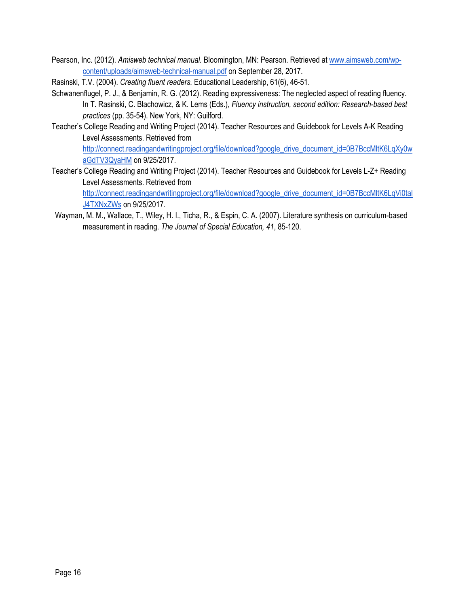- Pearson, Inc. (2012). *Amisweb technical manual.* Bloomington, MN: Pearson. Retrieved at www.aimsweb.com/wpcontent/uploads/aimsweb-technical-manual.pdf on September 28, 2017.
- Rasinski, T.V. (2004). *Creating fluent readers.* Educational Leadership, 61(6), 46-51.
- Schwanenflugel, P. J., & Benjamin, R. G. (2012). Reading expressiveness: The neglected aspect of reading fluency. In T. Rasinski, C. Blachowicz, & K. Lems (Eds.), *Fluency instruction, second edition: Research-based best practices* (pp. 35-54). New York, NY: Guilford.
- Teacher's College Reading and Writing Project (2014). Teacher Resources and Guidebook for Levels A-K Reading Level Assessments. Retrieved from http://connect.readingandwritingproject.org/file/download?google\_drive\_document\_id=0B7BccMltK6LqXy0w

aGdTV3QyaHM on 9/25/2017. Teacher's College Reading and Writing Project (2014). Teacher Resources and Guidebook for Levels L-Z+ Reading Level Assessments. Retrieved from

http://connect.readingandwritingproject.org/file/download?google\_drive\_document\_id=0B7BccMltK6LqVi0tal J4TXNxZWs on 9/25/2017.

Wayman, M. M., Wallace, T., Wiley, H. I., Ticha, R., & Espin, C. A. (2007). Literature synthesis on curriculum-based measurement in reading. *The Journal of Special Education, 41*, 85-120.